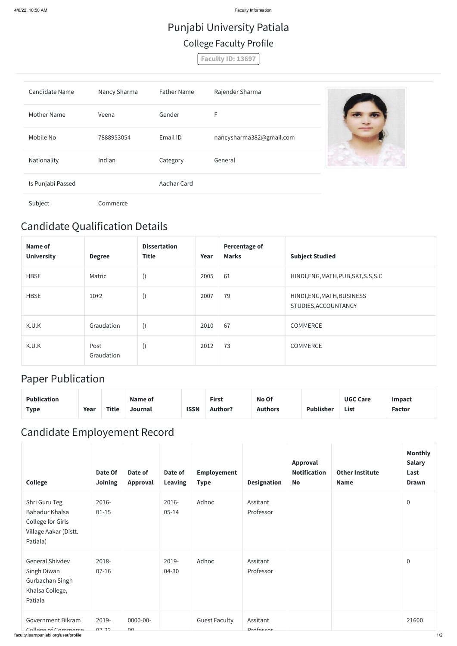4/6/22, 10:50 AM Faculty Information

# Candidate Qualification Details

| <b>Name of</b><br><b>University</b> | <b>Degree</b>      | <b>Dissertation</b><br><b>Title</b> | Year | <b>Percentage of</b><br><b>Marks</b> | <b>Subject Studied</b>                             |
|-------------------------------------|--------------------|-------------------------------------|------|--------------------------------------|----------------------------------------------------|
| <b>HBSE</b>                         | Matric             | $\left( \right)$                    | 2005 | 61                                   | HINDI, ENG, MATH, PUB, SKT, S.S, S.C.              |
| <b>HBSE</b>                         | $10+2$             | $\left( \right)$                    | 2007 | 79                                   | HINDI, ENG, MATH, BUSINESS<br>STUDIES, ACCOUNTANCY |
| K.U.K                               | Graudation         | $\left( \right)$                    | 2010 | 67                                   | <b>COMMERCE</b>                                    |
| K.U.K                               | Post<br>Graudation | $\left( \right)$                    | 2012 | 73                                   | COMMERCE                                           |

### Paper Publication

|                                                                                                                                  | No Of          |                  | <b>UGC Care</b> | <b>Impact</b> |
|----------------------------------------------------------------------------------------------------------------------------------|----------------|------------------|-----------------|---------------|
| <b>Publication</b><br><b>First</b><br>Name of<br><b>Title</b><br>Year<br><b>ISSN</b><br><b>Author?</b><br><b>Type</b><br>Journal | <b>Authors</b> | <b>Publisher</b> | List            | <b>Factor</b> |

# Candidate Employement Record

| <b>College</b>                                                                            | Date Of<br><b>Joining</b> | Date of<br><b>Approval</b> | Date of<br><b>Leaving</b> | <b>Employement</b><br><b>Type</b> | <b>Designation</b>    | Approval<br><b>Notification</b><br><b>No</b> | <b>Other Institute</b><br><b>Name</b> | <b>Monthly</b><br><b>Salary</b><br>Last<br><b>Drawn</b> |
|-------------------------------------------------------------------------------------------|---------------------------|----------------------------|---------------------------|-----------------------------------|-----------------------|----------------------------------------------|---------------------------------------|---------------------------------------------------------|
| Shri Guru Teg<br>Bahadur Khalsa<br>College for Girls<br>Village Aakar (Distt.<br>Patiala) | 2016-<br>$01 - 15$        |                            | 2016-<br>$05 - 14$        | Adhoc                             | Assitant<br>Professor |                                              |                                       | $\overline{0}$                                          |
| General Shivdev<br>Singh Diwan<br>Gurbachan Singh<br>Khalsa College,<br>Patiala           | 2018-<br>$07 - 16$        |                            | 2019-<br>04-30            | Adhoc                             | Assitant<br>Professor |                                              |                                       | $\overline{0}$                                          |
| <b>Government Bikram</b><br>Collage of Commerce                                           | 2019-<br>07.22            | $0000 - 00 -$<br>$\cap$    |                           | <b>Guest Faculty</b>              | Assitant<br>Drofoccor |                                              |                                       | 21600                                                   |

# Punjabi University Patiala College Faculty Profile

**Faculty ID: 13697**

| Candidate Name     | Nancy Sharma | <b>Father Name</b> | Rajender Sharma          |  |
|--------------------|--------------|--------------------|--------------------------|--|
| <b>Mother Name</b> | Veena        | Gender             | F                        |  |
| Mobile No          | 7888953054   | Email ID           | nancysharma382@gmail.com |  |
| Nationality        | Indian       | Category           | General                  |  |
| Is Punjabi Passed  |              | Aadhar Card        |                          |  |
| Subject            | Commerce     |                    |                          |  |